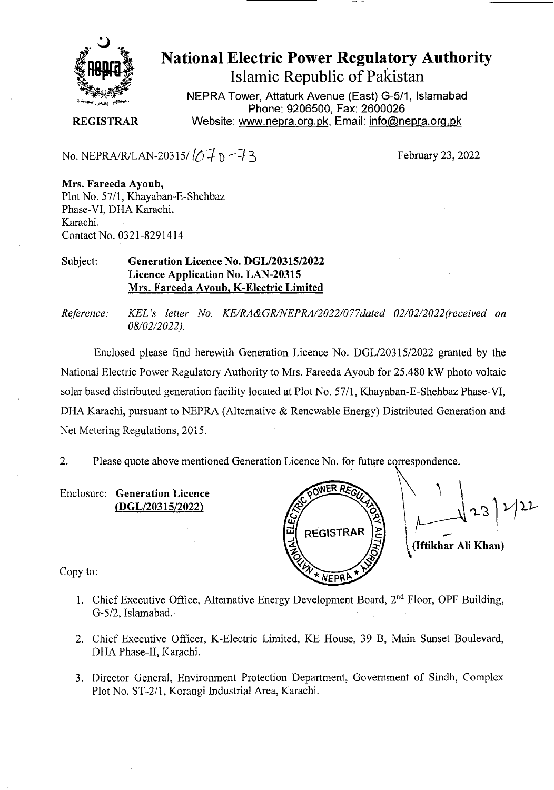

# National Electric Power Regulatory Authority Islamic Republic of Pakistan

**NEPRA Tower, Attaturk Avenue (East) G-511, Islamabad Phone: 9206500, Fax: 2600026 REGISTRAR** Website: www.nepra.org.pk, Email: info@nepra.org.pk

No. NEPRA/R/LAN-20315/ $\sqrt{7} \cdot 7 \cdot 7$ 3

February 23, 2022

**Mrs. Fareeda Ayoub,**  Plot No. 57/1, Khayaban-E-Shehbaz Phase-VT, DHA Karachi, Karachi. Contact No. 0321-8291414

#### Subject: **Generation Licence No. DGL/20315/2022 Licence Application No. LAN-20315 Mrs. Fareeda Ayoub, K-Electric Limited**

*Reference. KEL 's letter No. KE/RA&GR/NEPRA/2022/077dated 02/02/2022(received On 08/02/2 022).* 

Enclosed please find herewith Generation Licence No. DGL/203 15/2022 granted by the National Electric Power Regulatory Authority to Mrs. Fareeda Ayoub for 25.480 kW photo voltaic solar based distributed generation facility located at Plot No. 57/1, Khayaban-E-Shehbaz Phase-VI, DHA Karachi, pursuant to NEPRA (Alternative & Renewable Energy) Distributed Generation and Net Metering Regulations, 2015.

2. Please quote above mentioned Generation Licence No. for future correspondence.

Enclosure: **Generation Licence (DGL/20315/2022)** 

 $\begin{bmatrix} 23 \\ 1 \end{bmatrix}^1$ ELEZ **REGISTRAR** 

Copy to:

- 1. Chief Executive Office, Alternative Energy Development Board, 2nd Floor, OPF Building, G-5/2, Islamabad.
- 2. Chief Executive Officer, K-Electric Limited, KE House, 39 B, Main Sunset Boulevard, DHA Phase-Il, Karachi.
- 3. Director General, Environment Protection Department, Government of Sindh, Complex Plot No. ST-2/1, Korangi Industrial Area, Karachi.